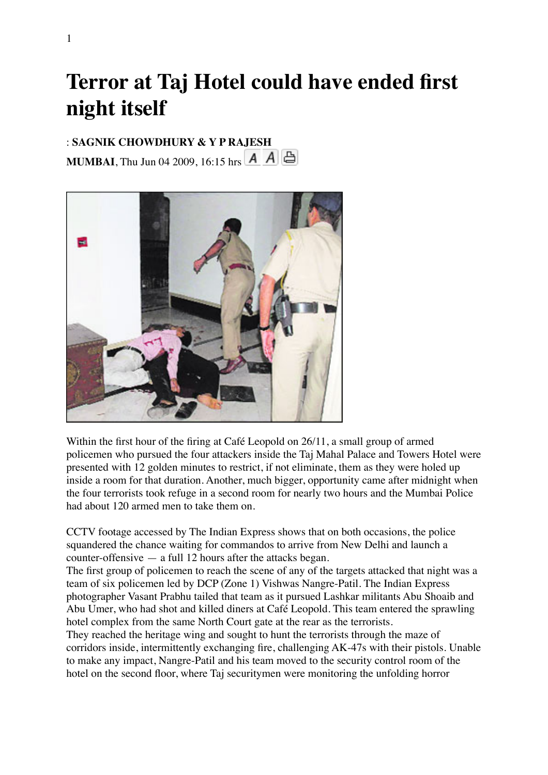## **Terror at Taj Hotel could have ended first night itself**

## : **SAGNIK CHOWDHURY & Y P RAJESH**

**MUMBAI**,Thu Jun 04 2009, 16:15 hrs  $\begin{array}{|c|c|c|c|c|}\nA & A & A\end{array}$ 



Within the first hour of the firing at Café Leopold on 26/11, a small group of armed policemen who pursued the four attackers inside the Taj Mahal Palace and Towers Hotel were presented with 12 golden minutes to restrict, if not eliminate, them as they were holed up inside a room for that duration. Another, much bigger, opportunity came after midnight when the four terrorists took refuge in a second room for nearly two hours and the Mumbai Police had about 120 armed men to take them on.

CCTV footage accessed by The Indian Express shows that on both occasions, the police squandered the chance waiting for commandos to arrive from New Delhi and launch a counter-offensive — a full 12 hours after the attacks began.

The first group of policemen to reach the scene of any of the targets attacked that night was a team of six policemen led by DCP (Zone 1) Vishwas Nangre-Patil. The Indian Express photographer Vasant Prabhu tailed that team as it pursued Lashkar militants Abu Shoaib and Abu Umer, who had shot and killed diners at Café Leopold. This team entered the sprawling hotel complex from the same North Court gate at the rear as the terrorists.

They reached the heritage wing and sought to hunt the terrorists through the maze of corridors inside, intermittently exchanging fire, challenging AK-47s with their pistols. Unable to make any impact, Nangre-Patil and his team moved to the security control room of the hotel on the second floor, where Taj securitymen were monitoring the unfolding horror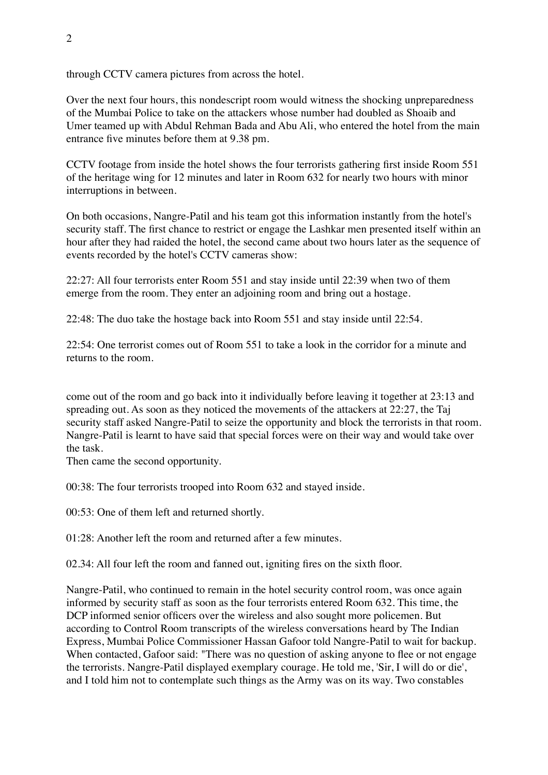through CCTV camera pictures from across the hotel.

Over the next four hours, this nondescript room would witness the shocking unpreparedness of the Mumbai Police to take on the attackers whose number had doubled as Shoaib and Umer teamed up with Abdul Rehman Bada and Abu Ali, who entered the hotel from the main entrance five minutes before them at 9.38 pm.

CCTV footage from inside the hotel shows the four terrorists gathering first inside Room 551 of the heritage wing for 12 minutes and later in Room 632 for nearly two hours with minor interruptions in between.

On both occasions, Nangre-Patil and his team got this information instantly from the hotel's security staff. The first chance to restrict or engage the Lashkar men presented itself within an hour after they had raided the hotel, the second came about two hours later as the sequence of events recorded by the hotel's CCTV cameras show:

22:27: All four terrorists enter Room 551 and stay inside until 22:39 when two of them emerge from the room. They enter an adjoining room and bring out a hostage.

22:48: The duo take the hostage back into Room 551 and stay inside until 22:54.

22:54: One terrorist comes out of Room 551 to take a look in the corridor for a minute and returns to the room.

come out of the room and go back into it individually before leaving it together at 23:13 and spreading out. As soon as they noticed the movements of the attackers at 22:27, the Taj security staff asked Nangre-Patil to seize the opportunity and block the terrorists in that room. Nangre-Patil is learnt to have said that special forces were on their way and would take over the task.

Then came the second opportunity.

00:38: The four terrorists trooped into Room 632 and stayed inside.

00:53: One of them left and returned shortly.

01:28: Another left the room and returned after a few minutes.

02.34: All four left the room and fanned out, igniting fires on the sixth floor.

Nangre-Patil, who continued to remain in the hotel security control room, was once again informed by security staff as soon as the four terrorists entered Room 632. This time, the DCP informed senior officers over the wireless and also sought more policemen. But according to Control Room transcripts of the wireless conversations heard by The Indian Express, Mumbai Police Commissioner Hassan Gafoor told Nangre-Patil to wait for backup. When contacted, Gafoor said: "There was no question of asking anyone to flee or not engage the terrorists. Nangre-Patil displayed exemplary courage. He told me, 'Sir, I will do or die', and I told him not to contemplate such things as the Army was on its way. Two constables